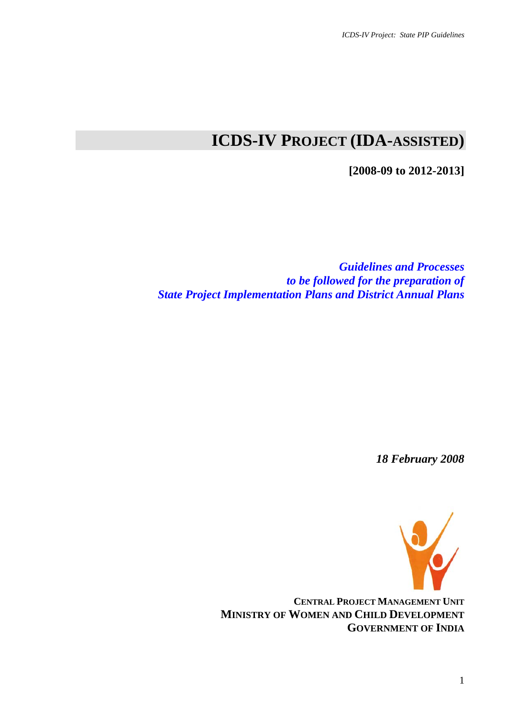# **ICDS-IV PROJECT (IDA-ASSISTED)**

**[2008-09 to 2012-2013]** 

*Guidelines and Processes to be followed for the preparation of State Project Implementation Plans and District Annual Plans* 

*18 February 2008* 



**CENTRAL PROJECT MANAGEMENT UNIT MINISTRY OF WOMEN AND CHILD DEVELOPMENT GOVERNMENT OF INDIA**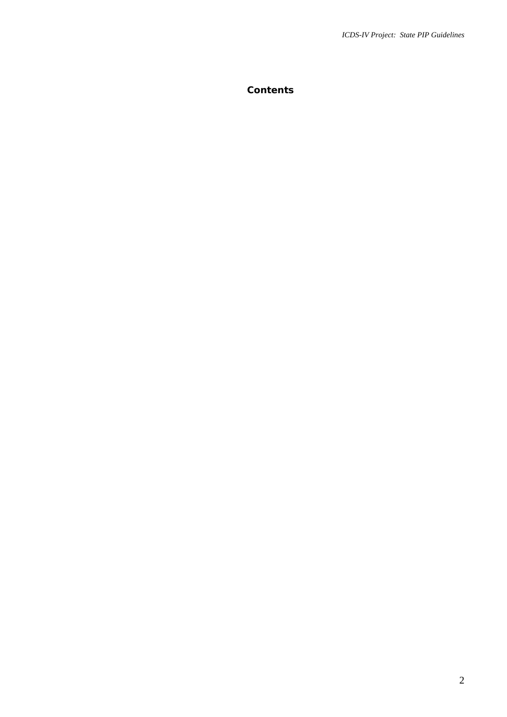**Contents**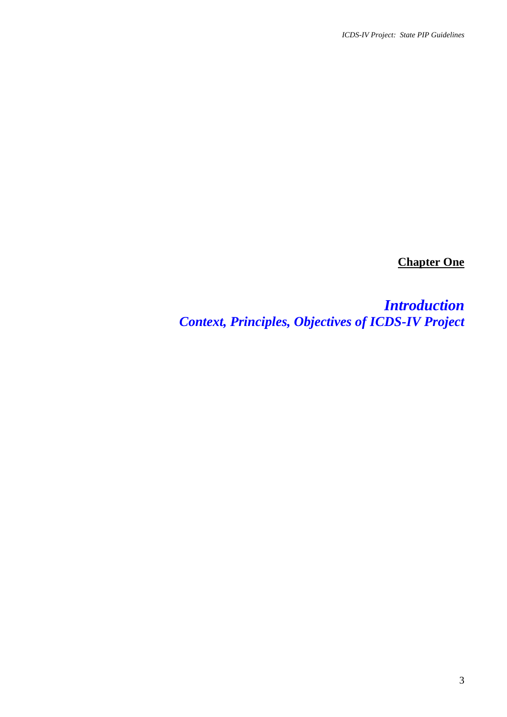**Chapter One**

*Introduction Context, Principles, Objectives of ICDS-IV Project*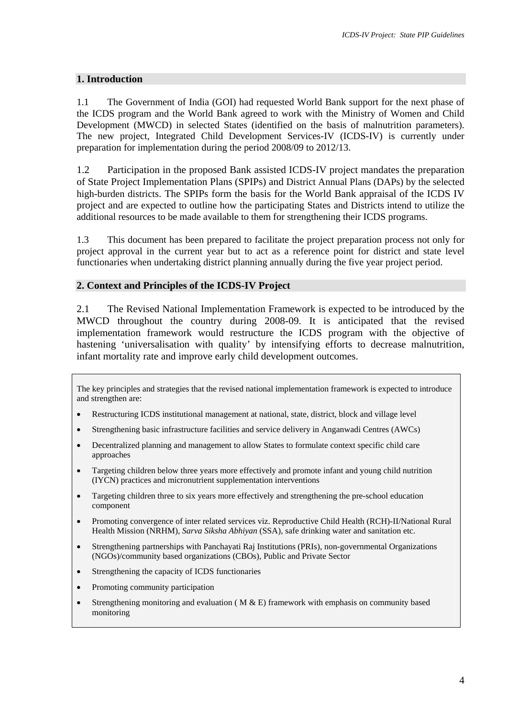#### **1. Introduction**

1.1 The Government of India (GOI) had requested World Bank support for the next phase of the ICDS program and the World Bank agreed to work with the Ministry of Women and Child Development (MWCD) in selected States (identified on the basis of malnutrition parameters). The new project, Integrated Child Development Services-IV (ICDS-IV) is currently under preparation for implementation during the period 2008/09 to 2012/13.

1.2 Participation in the proposed Bank assisted ICDS-IV project mandates the preparation of State Project Implementation Plans (SPIPs) and District Annual Plans (DAPs) by the selected high-burden districts. The SPIPs form the basis for the World Bank appraisal of the ICDS IV project and are expected to outline how the participating States and Districts intend to utilize the additional resources to be made available to them for strengthening their ICDS programs.

1.3 This document has been prepared to facilitate the project preparation process not only for project approval in the current year but to act as a reference point for district and state level functionaries when undertaking district planning annually during the five year project period.

## **2. Context and Principles of the ICDS-IV Project**

2.1 The Revised National Implementation Framework is expected to be introduced by the MWCD throughout the country during 2008-09. It is anticipated that the revised implementation framework would restructure the ICDS program with the objective of hastening 'universalisation with quality' by intensifying efforts to decrease malnutrition, infant mortality rate and improve early child development outcomes.

The key principles and strategies that the revised national implementation framework is expected to introduce and strengthen are:

- Restructuring ICDS institutional management at national, state, district, block and village level
- Strengthening basic infrastructure facilities and service delivery in Anganwadi Centres (AWCs)
- Decentralized planning and management to allow States to formulate context specific child care approaches
- Targeting children below three years more effectively and promote infant and young child nutrition (IYCN) practices and micronutrient supplementation interventions
- Targeting children three to six years more effectively and strengthening the pre-school education component
- Promoting convergence of inter related services viz. Reproductive Child Health (RCH)-II/National Rural Health Mission (NRHM), *Sarva Siksha Abhiyan* (SSA), safe drinking water and sanitation etc.
- Strengthening partnerships with Panchayati Raj Institutions (PRIs), non-governmental Organizations (NGOs)/community based organizations (CBOs), Public and Private Sector
- Strengthening the capacity of ICDS functionaries
- Promoting community participation
- Strengthening monitoring and evaluation ( $M & E$ ) framework with emphasis on community based monitoring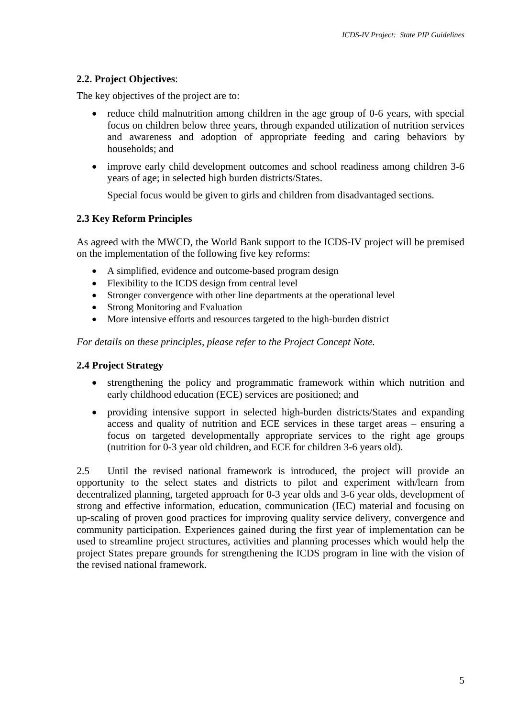# **2.2. Project Objectives**:

The key objectives of the project are to:

- reduce child malnutrition among children in the age group of 0-6 years, with special focus on children below three years, through expanded utilization of nutrition services and awareness and adoption of appropriate feeding and caring behaviors by households; and
- improve early child development outcomes and school readiness among children 3-6 years of age; in selected high burden districts/States.

Special focus would be given to girls and children from disadvantaged sections.

## **2.3 Key Reform Principles**

As agreed with the MWCD, the World Bank support to the ICDS-IV project will be premised on the implementation of the following five key reforms:

- A simplified, evidence and outcome-based program design
- Flexibility to the ICDS design from central level
- Stronger convergence with other line departments at the operational level
- Strong Monitoring and Evaluation
- More intensive efforts and resources targeted to the high-burden district

*For details on these principles, please refer to the Project Concept Note.* 

## **2.4 Project Strategy**

- strengthening the policy and programmatic framework within which nutrition and early childhood education (ECE) services are positioned; and
- providing intensive support in selected high-burden districts/States and expanding access and quality of nutrition and ECE services in these target areas – ensuring a focus on targeted developmentally appropriate services to the right age groups (nutrition for 0-3 year old children, and ECE for children 3-6 years old).

2.5 Until the revised national framework is introduced, the project will provide an opportunity to the select states and districts to pilot and experiment with/learn from decentralized planning, targeted approach for 0-3 year olds and 3-6 year olds, development of strong and effective information, education, communication (IEC) material and focusing on up-scaling of proven good practices for improving quality service delivery, convergence and community participation. Experiences gained during the first year of implementation can be used to streamline project structures, activities and planning processes which would help the project States prepare grounds for strengthening the ICDS program in line with the vision of the revised national framework.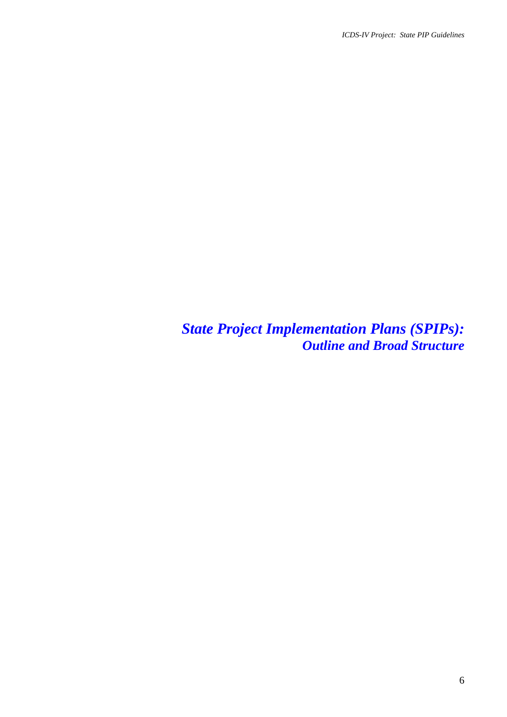*State Project Implementation Plans (SPIPs): Outline and Broad Structure*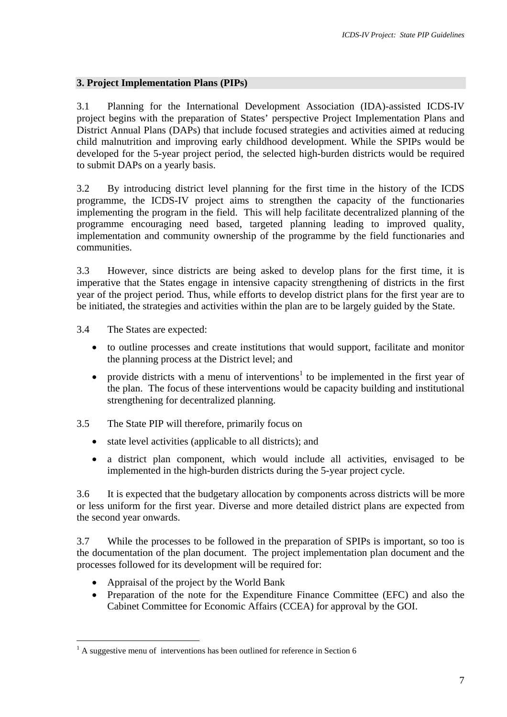# **3. Project Implementation Plans (PIPs)**

3.1 Planning for the International Development Association (IDA)-assisted ICDS-IV project begins with the preparation of States' perspective Project Implementation Plans and District Annual Plans (DAPs) that include focused strategies and activities aimed at reducing child malnutrition and improving early childhood development. While the SPIPs would be developed for the 5-year project period, the selected high-burden districts would be required to submit DAPs on a yearly basis.

3.2 By introducing district level planning for the first time in the history of the ICDS programme, the ICDS-IV project aims to strengthen the capacity of the functionaries implementing the program in the field. This will help facilitate decentralized planning of the programme encouraging need based, targeted planning leading to improved quality, implementation and community ownership of the programme by the field functionaries and communities.

3.3 However, since districts are being asked to develop plans for the first time, it is imperative that the States engage in intensive capacity strengthening of districts in the first year of the project period. Thus, while efforts to develop district plans for the first year are to be initiated, the strategies and activities within the plan are to be largely guided by the State.

- 3.4 The States are expected:
	- to outline processes and create institutions that would support, facilitate and monitor the planning process at the District level; and
	- provide districts with a menu of interventions<sup>[1](#page-6-0)</sup> to be implemented in the first year of the plan. The focus of these interventions would be capacity building and institutional strengthening for decentralized planning.
- 3.5 The State PIP will therefore, primarily focus on
	- state level activities (applicable to all districts); and
	- a district plan component, which would include all activities, envisaged to be implemented in the high-burden districts during the 5-year project cycle.

3.6 It is expected that the budgetary allocation by components across districts will be more or less uniform for the first year. Diverse and more detailed district plans are expected from the second year onwards.

3.7 While the processes to be followed in the preparation of SPIPs is important, so too is the documentation of the plan document. The project implementation plan document and the processes followed for its development will be required for:

• Appraisal of the project by the World Bank

 $\overline{a}$ 

• Preparation of the note for the Expenditure Finance Committee (EFC) and also the Cabinet Committee for Economic Affairs (CCEA) for approval by the GOI.

<span id="page-6-0"></span> $<sup>1</sup>$  A suggestive menu of interventions has been outlined for reference in Section 6</sup>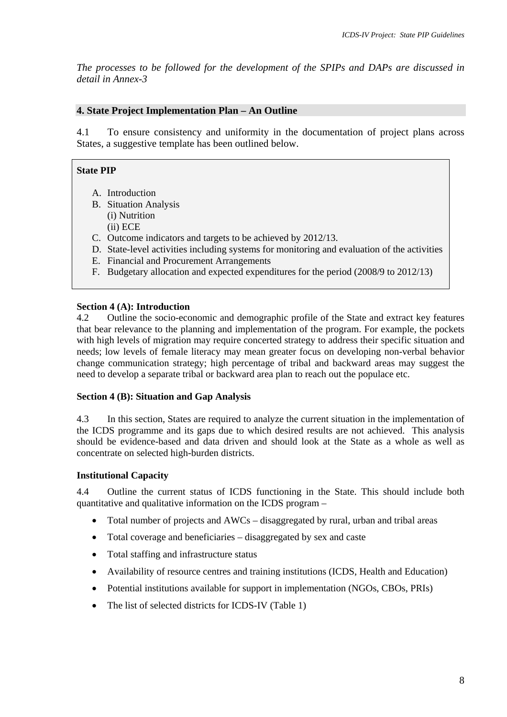*The processes to be followed for the development of the SPIPs and DAPs are discussed in detail in Annex-3* 

# **4. State Project Implementation Plan – An Outline**

4.1 To ensure consistency and uniformity in the documentation of project plans across States, a suggestive template has been outlined below.

## **State PIP**

- A. Introduction
- B. Situation Analysis
	- (i) Nutrition (ii) ECE
- C. Outcome indicators and targets to be achieved by 2012/13.
- D. State-level activities including systems for monitoring and evaluation of the activities
- E. Financial and Procurement Arrangements
- F. Budgetary allocation and expected expenditures for the period (2008/9 to 2012/13)

## **Section 4 (A): Introduction**

4.2 Outline the socio-economic and demographic profile of the State and extract key features that bear relevance to the planning and implementation of the program. For example, the pockets with high levels of migration may require concerted strategy to address their specific situation and needs; low levels of female literacy may mean greater focus on developing non-verbal behavior change communication strategy; high percentage of tribal and backward areas may suggest the need to develop a separate tribal or backward area plan to reach out the populace etc.

## **Section 4 (B): Situation and Gap Analysis**

4.3 In this section, States are required to analyze the current situation in the implementation of the ICDS programme and its gaps due to which desired results are not achieved. This analysis should be evidence-based and data driven and should look at the State as a whole as well as concentrate on selected high-burden districts.

## **Institutional Capacity**

4.4 Outline the current status of ICDS functioning in the State. This should include both quantitative and qualitative information on the ICDS program –

- Total number of projects and AWCs disaggregated by rural, urban and tribal areas
- Total coverage and beneficiaries disaggregated by sex and caste
- Total staffing and infrastructure status
- Availability of resource centres and training institutions (ICDS, Health and Education)
- Potential institutions available for support in implementation (NGOs, CBOs, PRIs)
- The list of selected districts for ICDS-IV (Table 1)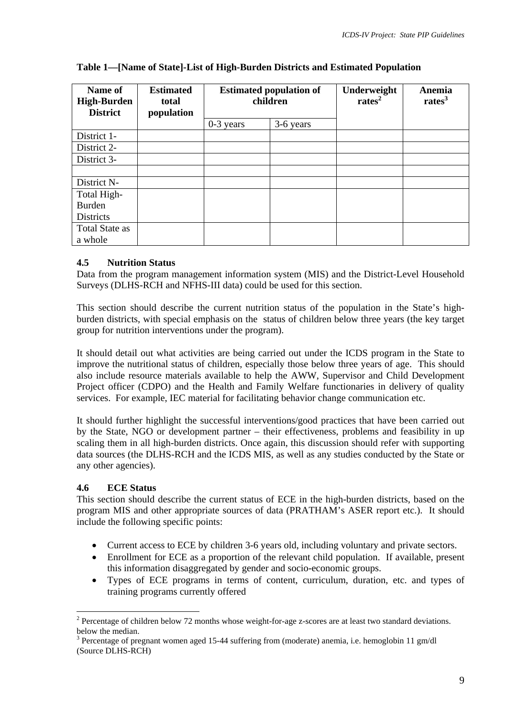| Name of<br><b>High-Burden</b><br><b>District</b> | <b>Estimated</b><br>total<br>population | <b>Estimated population of</b><br>children |           | Underweight<br>rates <sup>2</sup> | Anemia<br>rates <sup>3</sup> |
|--------------------------------------------------|-----------------------------------------|--------------------------------------------|-----------|-----------------------------------|------------------------------|
|                                                  |                                         | $0-3$ years                                | 3-6 years |                                   |                              |
| District 1-                                      |                                         |                                            |           |                                   |                              |
| District 2-                                      |                                         |                                            |           |                                   |                              |
| District 3-                                      |                                         |                                            |           |                                   |                              |
|                                                  |                                         |                                            |           |                                   |                              |
| District N-                                      |                                         |                                            |           |                                   |                              |
| Total High-                                      |                                         |                                            |           |                                   |                              |
| <b>Burden</b>                                    |                                         |                                            |           |                                   |                              |
| <b>Districts</b>                                 |                                         |                                            |           |                                   |                              |
| <b>Total State as</b>                            |                                         |                                            |           |                                   |                              |
| a whole                                          |                                         |                                            |           |                                   |                              |

## **Table 1—[Name of State]-List of High-Burden Districts and Estimated Population**

# **4.5 Nutrition Status**

Data from the program management information system (MIS) and the District-Level Household Surveys (DLHS-RCH and NFHS-III data) could be used for this section.

This section should describe the current nutrition status of the population in the State's highburden districts, with special emphasis on the status of children below three years (the key target group for nutrition interventions under the program).

It should detail out what activities are being carried out under the ICDS program in the State to improve the nutritional status of children, especially those below three years of age. This should also include resource materials available to help the AWW, Supervisor and Child Development Project officer (CDPO) and the Health and Family Welfare functionaries in delivery of quality services. For example, IEC material for facilitating behavior change communication etc.

It should further highlight the successful interventions/good practices that have been carried out by the State, NGO or development partner – their effectiveness, problems and feasibility in up scaling them in all high-burden districts. Once again, this discussion should refer with supporting data sources (the DLHS-RCH and the ICDS MIS, as well as any studies conducted by the State or any other agencies).

# **4.6 ECE Status**

This section should describe the current status of ECE in the high-burden districts, based on the program MIS and other appropriate sources of data (PRATHAM's ASER report etc.). It should include the following specific points:

- Current access to ECE by children 3-6 years old, including voluntary and private sectors.
- Enrollment for ECE as a proportion of the relevant child population. If available, present this information disaggregated by gender and socio-economic groups.
- Types of ECE programs in terms of content, curriculum, duration, etc. and types of training programs currently offered

<span id="page-8-0"></span> $\overline{a}$  $2^2$  Percentage of children below 72 months whose weight-for-age z-scores are at least two standard deviations. below the median.

<span id="page-8-1"></span><sup>&</sup>lt;sup>3</sup> Percentage of pregnant women aged 15-44 suffering from (moderate) anemia, i.e. hemoglobin 11 gm/dl (Source DLHS-RCH)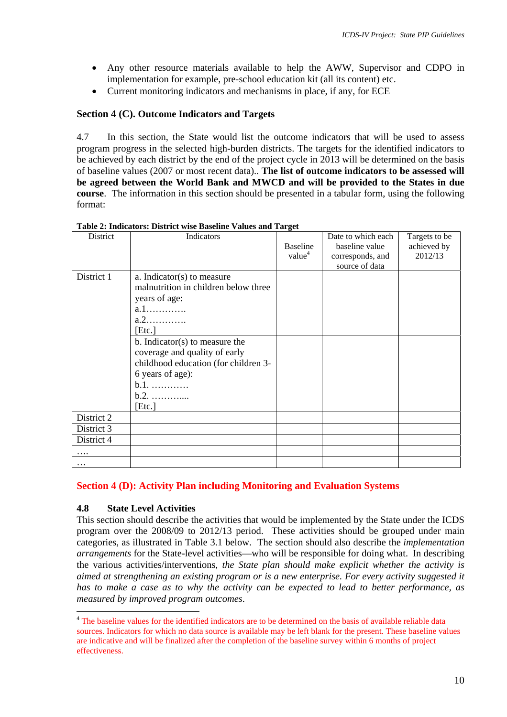- Any other resource materials available to help the AWW, Supervisor and CDPO in implementation for example, pre-school education kit (all its content) etc.
- Current monitoring indicators and mechanisms in place, if any, for ECE

# **Section 4 (C). Outcome Indicators and Targets**

4.7 In this section, the State would list the outcome indicators that will be used to assess program progress in the selected high-burden districts. The targets for the identified indicators to be achieved by each district by the end of the project cycle in 2013 will be determined on the basis of baseline values (2007 or most recent data).. **The list of outcome indicators to be assessed will be agreed between the World Bank and MWCD and will be provided to the States in due course**. The information in this section should be presented in a tabular form, using the following format:

| District   | Indicators                                                                                                                                                | <b>Baseline</b><br>value <sup>4</sup> | Date to which each<br>baseline value<br>corresponds, and<br>source of data | Targets to be<br>achieved by<br>2012/13 |
|------------|-----------------------------------------------------------------------------------------------------------------------------------------------------------|---------------------------------------|----------------------------------------------------------------------------|-----------------------------------------|
| District 1 | a. Indicator(s) to measure<br>malnutrition in children below three<br>years of age:<br>$a.1$<br>a.2<br>[Etc.]                                             |                                       |                                                                            |                                         |
|            | b. Indicator(s) to measure the<br>coverage and quality of early<br>childhood education (for children 3-<br>6 years of age):<br>$b.1.$<br>$b.2.$<br>[Etc.] |                                       |                                                                            |                                         |
| District 2 |                                                                                                                                                           |                                       |                                                                            |                                         |
| District 3 |                                                                                                                                                           |                                       |                                                                            |                                         |
| District 4 |                                                                                                                                                           |                                       |                                                                            |                                         |
| .          |                                                                                                                                                           |                                       |                                                                            |                                         |
| $\ddotsc$  |                                                                                                                                                           |                                       |                                                                            |                                         |

**Table 2: Indicators: District wise Baseline Values and Target** 

# **Section 4 (D): Activity Plan including Monitoring and Evaluation Systems**

## **4.8 State Level Activities**

 $\overline{a}$ 

This section should describe the activities that would be implemented by the State under the ICDS program over the 2008/09 to 2012/13 period. These activities should be grouped under main categories, as illustrated in Table 3.1 below. The section should also describe the *implementation arrangements* for the State-level activities—who will be responsible for doing what. In describing the various activities/interventions, *the State plan should make explicit whether the activity is aimed at strengthening an existing program or is a new enterprise. For every activity suggested it has to make a case as to why the activity can be expected to lead to better performance, as measured by improved program outcomes*.

<span id="page-9-0"></span><sup>&</sup>lt;sup>4</sup> The baseline values for the identified indicators are to be determined on the basis of available reliable data sources. Indicators for which no data source is available may be left blank for the present. These baseline values are indicative and will be finalized after the completion of the baseline survey within 6 months of project effectiveness.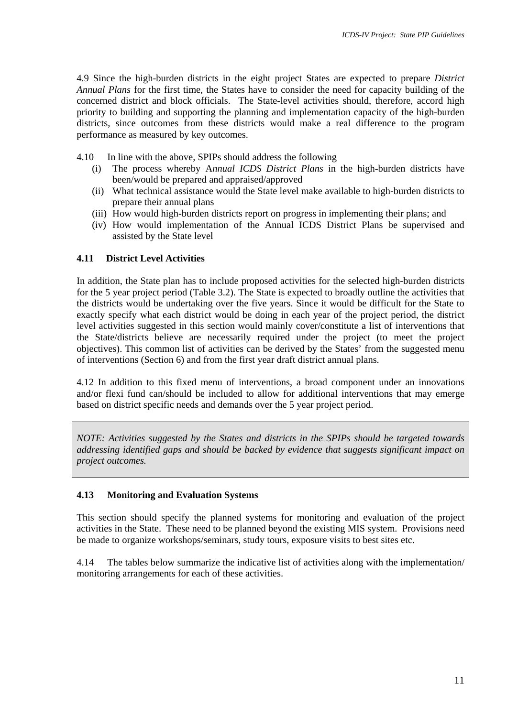4.9 Since the high-burden districts in the eight project States are expected to prepare *District Annual Plans* for the first time, the States have to consider the need for capacity building of the concerned district and block officials. The State-level activities should, therefore, accord high priority to building and supporting the planning and implementation capacity of the high-burden districts, since outcomes from these districts would make a real difference to the program performance as measured by key outcomes.

- 4.10 In line with the above, SPIPs should address the following
	- (i) The process whereby A*nnual ICDS District Plans* in the high-burden districts have been/would be prepared and appraised/approved
	- (ii) What technical assistance would the State level make available to high-burden districts to prepare their annual plans
	- (iii) How would high-burden districts report on progress in implementing their plans; and
	- (iv) How would implementation of the Annual ICDS District Plans be supervised and assisted by the State level

# **4.11 District Level Activities**

In addition, the State plan has to include proposed activities for the selected high-burden districts for the 5 year project period (Table 3.2). The State is expected to broadly outline the activities that the districts would be undertaking over the five years. Since it would be difficult for the State to exactly specify what each district would be doing in each year of the project period, the district level activities suggested in this section would mainly cover/constitute a list of interventions that the State/districts believe are necessarily required under the project (to meet the project objectives). This common list of activities can be derived by the States' from the suggested menu of interventions (Section 6) and from the first year draft district annual plans.

4.12 In addition to this fixed menu of interventions, a broad component under an innovations and/or flexi fund can/should be included to allow for additional interventions that may emerge based on district specific needs and demands over the 5 year project period.

*NOTE: Activities suggested by the States and districts in the SPIPs should be targeted towards addressing identified gaps and should be backed by evidence that suggests significant impact on project outcomes.* 

# **4.13 Monitoring and Evaluation Systems**

This section should specify the planned systems for monitoring and evaluation of the project activities in the State. These need to be planned beyond the existing MIS system. Provisions need be made to organize workshops/seminars, study tours, exposure visits to best sites etc.

4.14 The tables below summarize the indicative list of activities along with the implementation/ monitoring arrangements for each of these activities.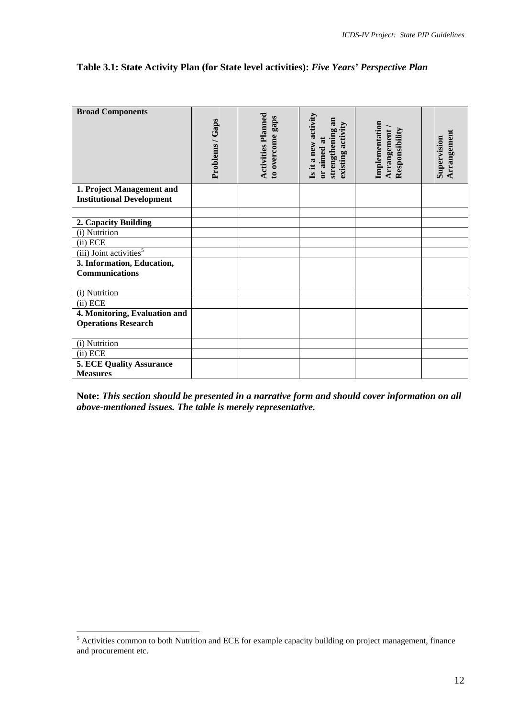## **Table 3.1: State Activity Plan (for State level activities):** *Five Years' Perspective Plan*

| <b>Broad Components</b>                                       | Problems / Gaps | <b>Activities Planned</b><br>to overcome gaps | Is it a new activity<br>strengthening an<br>existing activity<br>or aimed at | Implementation<br>Arrangement<br>Responsibility | Arrangement<br>Supervision |
|---------------------------------------------------------------|-----------------|-----------------------------------------------|------------------------------------------------------------------------------|-------------------------------------------------|----------------------------|
| 1. Project Management and<br><b>Institutional Development</b> |                 |                                               |                                                                              |                                                 |                            |
|                                                               |                 |                                               |                                                                              |                                                 |                            |
| 2. Capacity Building                                          |                 |                                               |                                                                              |                                                 |                            |
| (i) Nutrition                                                 |                 |                                               |                                                                              |                                                 |                            |
| (ii) ECE                                                      |                 |                                               |                                                                              |                                                 |                            |
| (iii) Joint activities <sup>5</sup>                           |                 |                                               |                                                                              |                                                 |                            |
| 3. Information, Education,                                    |                 |                                               |                                                                              |                                                 |                            |
| <b>Communications</b>                                         |                 |                                               |                                                                              |                                                 |                            |
| (i) Nutrition                                                 |                 |                                               |                                                                              |                                                 |                            |
| (ii) ECE                                                      |                 |                                               |                                                                              |                                                 |                            |
| 4. Monitoring, Evaluation and                                 |                 |                                               |                                                                              |                                                 |                            |
| <b>Operations Research</b>                                    |                 |                                               |                                                                              |                                                 |                            |
| (i) Nutrition                                                 |                 |                                               |                                                                              |                                                 |                            |
| (ii) ECE                                                      |                 |                                               |                                                                              |                                                 |                            |
| <b>5. ECE Quality Assurance</b>                               |                 |                                               |                                                                              |                                                 |                            |
| <b>Measures</b>                                               |                 |                                               |                                                                              |                                                 |                            |
|                                                               |                 |                                               |                                                                              |                                                 |                            |

**Note:** *This section should be presented in a narrative form and should cover information on all above-mentioned issues. The table is merely representative.* 

<span id="page-11-0"></span><sup>&</sup>lt;sup>5</sup> Activities common to both Nutrition and ECE for example capacity building on project management, finance and procurement etc.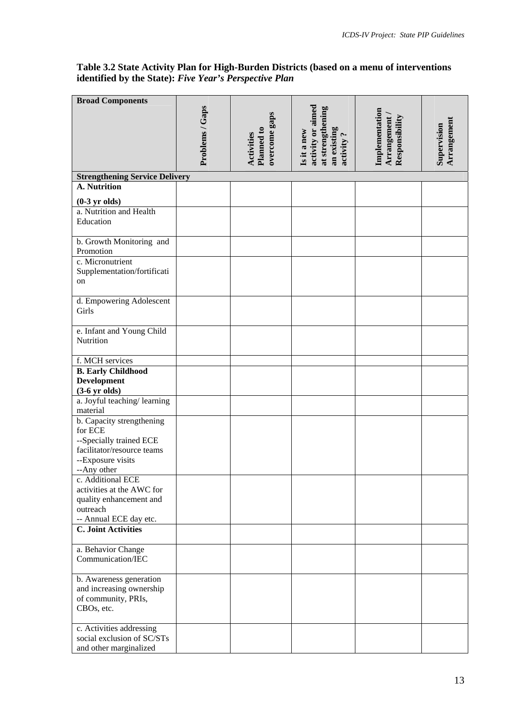## **Table 3.2 State Activity Plan for High-Burden Districts (based on a menu of interventions identified by the State):** *Five Year's Perspective Plan*

| <b>Broad Components</b>                               |                 |                                                  |                                         |                                                 |                            |
|-------------------------------------------------------|-----------------|--------------------------------------------------|-----------------------------------------|-------------------------------------------------|----------------------------|
|                                                       | Problems / Gaps |                                                  | activity or aimed<br>at strengthening   |                                                 |                            |
|                                                       |                 |                                                  |                                         |                                                 |                            |
|                                                       |                 |                                                  |                                         |                                                 |                            |
|                                                       |                 |                                                  |                                         |                                                 |                            |
|                                                       |                 | overcome gaps<br>Planned to<br><b>Activities</b> | an existing<br>Is it a new<br>activity? | Implementation<br>Arrangement<br>Responsibility | Arrangement<br>Supervision |
|                                                       |                 |                                                  |                                         |                                                 |                            |
| <b>Strengthening Service Delivery</b><br>A. Nutrition |                 |                                                  |                                         |                                                 |                            |
|                                                       |                 |                                                  |                                         |                                                 |                            |
| $(0-3 \text{ yr}$ olds)<br>a. Nutrition and Health    |                 |                                                  |                                         |                                                 |                            |
| Education                                             |                 |                                                  |                                         |                                                 |                            |
|                                                       |                 |                                                  |                                         |                                                 |                            |
| b. Growth Monitoring and                              |                 |                                                  |                                         |                                                 |                            |
| Promotion                                             |                 |                                                  |                                         |                                                 |                            |
| c. Micronutrient                                      |                 |                                                  |                                         |                                                 |                            |
| Supplementation/fortificati                           |                 |                                                  |                                         |                                                 |                            |
| on                                                    |                 |                                                  |                                         |                                                 |                            |
|                                                       |                 |                                                  |                                         |                                                 |                            |
| d. Empowering Adolescent<br>Girls                     |                 |                                                  |                                         |                                                 |                            |
|                                                       |                 |                                                  |                                         |                                                 |                            |
| e. Infant and Young Child                             |                 |                                                  |                                         |                                                 |                            |
| Nutrition                                             |                 |                                                  |                                         |                                                 |                            |
|                                                       |                 |                                                  |                                         |                                                 |                            |
| f. MCH services                                       |                 |                                                  |                                         |                                                 |                            |
| <b>B.</b> Early Childhood                             |                 |                                                  |                                         |                                                 |                            |
| <b>Development</b><br>$(3-6 \text{ yr}$ olds)         |                 |                                                  |                                         |                                                 |                            |
| a. Joyful teaching/learning                           |                 |                                                  |                                         |                                                 |                            |
| material                                              |                 |                                                  |                                         |                                                 |                            |
| b. Capacity strengthening                             |                 |                                                  |                                         |                                                 |                            |
| for ECE                                               |                 |                                                  |                                         |                                                 |                            |
| --Specially trained ECE                               |                 |                                                  |                                         |                                                 |                            |
| facilitator/resource teams                            |                 |                                                  |                                         |                                                 |                            |
| --Exposure visits<br>--Any other                      |                 |                                                  |                                         |                                                 |                            |
| c. Additional ECE                                     |                 |                                                  |                                         |                                                 |                            |
| activities at the AWC for                             |                 |                                                  |                                         |                                                 |                            |
| quality enhancement and                               |                 |                                                  |                                         |                                                 |                            |
| outreach                                              |                 |                                                  |                                         |                                                 |                            |
| -- Annual ECE day etc.                                |                 |                                                  |                                         |                                                 |                            |
| <b>C. Joint Activities</b>                            |                 |                                                  |                                         |                                                 |                            |
| a. Behavior Change                                    |                 |                                                  |                                         |                                                 |                            |
| Communication/IEC                                     |                 |                                                  |                                         |                                                 |                            |
|                                                       |                 |                                                  |                                         |                                                 |                            |
| b. Awareness generation                               |                 |                                                  |                                         |                                                 |                            |
| and increasing ownership                              |                 |                                                  |                                         |                                                 |                            |
| of community, PRIs,                                   |                 |                                                  |                                         |                                                 |                            |
| CBOs, etc.                                            |                 |                                                  |                                         |                                                 |                            |
| c. Activities addressing                              |                 |                                                  |                                         |                                                 |                            |
| social exclusion of SC/STs                            |                 |                                                  |                                         |                                                 |                            |
| and other marginalized                                |                 |                                                  |                                         |                                                 |                            |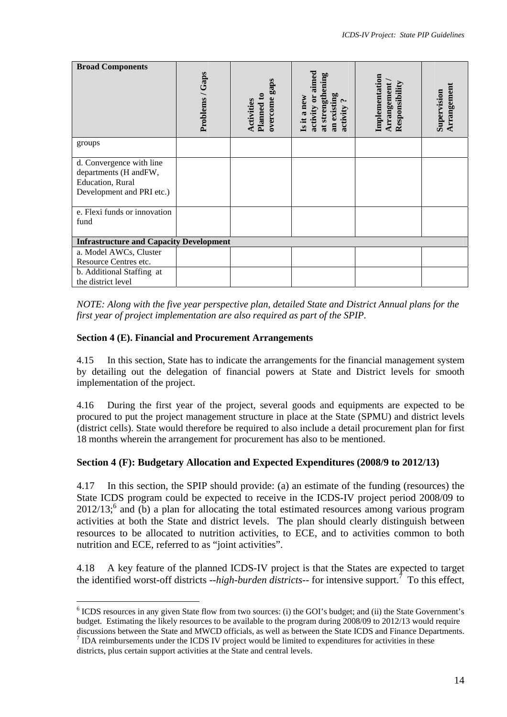| <b>Broad Components</b>                            | Problems / Gaps | overcome gaps         | aimed<br>at strengthening                              | Implementation<br>Arrangement<br>Responsibility | Arrangement<br>Supervision |
|----------------------------------------------------|-----------------|-----------------------|--------------------------------------------------------|-------------------------------------------------|----------------------------|
|                                                    |                 | Activities<br>Planned | activity or<br>an existing<br>Is it a new<br>activity? |                                                 |                            |
| groups                                             |                 |                       |                                                        |                                                 |                            |
| d. Convergence with line<br>departments (H and FW, |                 |                       |                                                        |                                                 |                            |
| Education, Rural                                   |                 |                       |                                                        |                                                 |                            |
| Development and PRI etc.)                          |                 |                       |                                                        |                                                 |                            |
| e. Flexi funds or innovation                       |                 |                       |                                                        |                                                 |                            |
| fund                                               |                 |                       |                                                        |                                                 |                            |
| <b>Infrastructure and Capacity Development</b>     |                 |                       |                                                        |                                                 |                            |
| a. Model AWCs, Cluster                             |                 |                       |                                                        |                                                 |                            |
| Resource Centres etc.                              |                 |                       |                                                        |                                                 |                            |
| b. Additional Staffing at<br>the district level    |                 |                       |                                                        |                                                 |                            |

*NOTE: Along with the five year perspective plan, detailed State and District Annual plans for the first year of project implementation are also required as part of the SPIP.* 

## **Section 4 (E). Financial and Procurement Arrangements**

 $\overline{a}$ 

4.15 In this section, State has to indicate the arrangements for the financial management system by detailing out the delegation of financial powers at State and District levels for smooth implementation of the project.

4.16 During the first year of the project, several goods and equipments are expected to be procured to put the project management structure in place at the State (SPMU) and district levels (district cells). State would therefore be required to also include a detail procurement plan for first 18 months wherein the arrangement for procurement has also to be mentioned.

## **Section 4 (F): Budgetary Allocation and Expected Expenditures (2008/9 to 2012/13)**

4.17 In this section, the SPIP should provide: (a) an estimate of the funding (resources) the State ICDS program could be expected to receive in the ICDS-IV project period 2008/09 to  $2012/13$ ; and (b) a plan for allocating the total estimated resources among various program activities at both the State and district levels. The plan should clearly distinguish between resources to be allocated to nutrition activities, to ECE, and to activities common to both nutrition and ECE, referred to as "joint activities".

4.18 A key feature of the planned ICDS-IV project is that the States are expected to target the identified worst-off districts --high-burden districts-- for intensive support.<sup>7</sup> To this effect,

<span id="page-13-0"></span><sup>&</sup>lt;sup>6</sup> ICDS resources in any given State flow from two sources: (i) the GOI's budget; and (ii) the State Government's budget. Estimating the likely resources to be available to the program during 2008/09 to 2012/13 would require discussions between the State and MWCD officials, as well as between the State ICDS and Finance Departments. 7

<span id="page-13-1"></span> $\frac{7}{1}$  IDA reimbursements under the ICDS IV project would be limited to expenditures for activities in these districts, plus certain support activities at the State and central levels.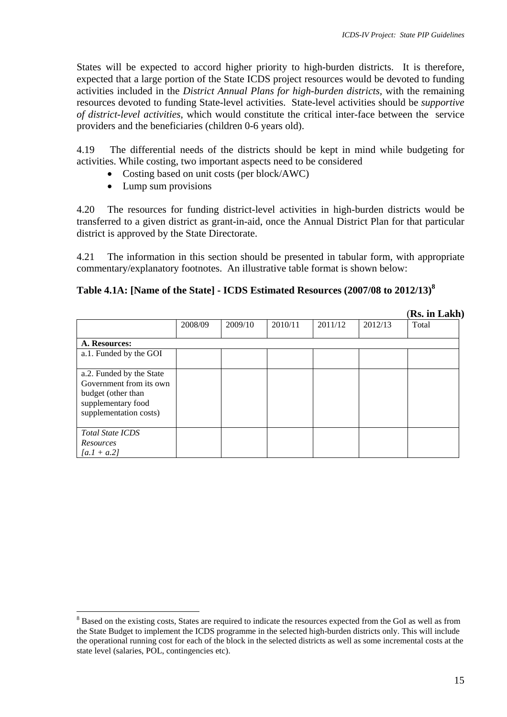States will be expected to accord higher priority to high-burden districts. It is therefore, expected that a large portion of the State ICDS project resources would be devoted to funding activities included in the *District Annual Plans for high-burden districts,* with the remaining resources devoted to funding State-level activities. State-level activities should be *supportive of district-level activities*, which would constitute the critical inter-face between the service providers and the beneficiaries (children 0-6 years old).

4.19 The differential needs of the districts should be kept in mind while budgeting for activities. While costing, two important aspects need to be considered

- Costing based on unit costs (per block/AWC)
- Lump sum provisions

4.20 The resources for funding district-level activities in high-burden districts would be transferred to a given district as grant-in-aid, once the Annual District Plan for that particular district is approved by the State Directorate.

4.21 The information in this section should be presented in tabular form, with appropriate commentary/explanatory footnotes. An illustrative table format is shown below:

# **Table 4.1A: [Name of the State] - ICDS Estimated Resources (2007/08 to 2012/13)[8](#page-14-0)**

|                                                                                                                           |         |         |         |         |         | (Rs. in Lakh) |
|---------------------------------------------------------------------------------------------------------------------------|---------|---------|---------|---------|---------|---------------|
|                                                                                                                           | 2008/09 | 2009/10 | 2010/11 | 2011/12 | 2012/13 | Total         |
| A. Resources:<br>a.1. Funded by the GOI                                                                                   |         |         |         |         |         |               |
| a.2. Funded by the State<br>Government from its own<br>budget (other than<br>supplementary food<br>supplementation costs) |         |         |         |         |         |               |
| <b>Total State ICDS</b><br>Resources<br>$[a.1 + a.2]$                                                                     |         |         |         |         |         |               |

<span id="page-14-0"></span> $\overline{a}$ <sup>8</sup> Based on the existing costs, States are required to indicate the resources expected from the GoI as well as from the State Budget to implement the ICDS programme in the selected high-burden districts only. This will include the operational running cost for each of the block in the selected districts as well as some incremental costs at the state level (salaries, POL, contingencies etc).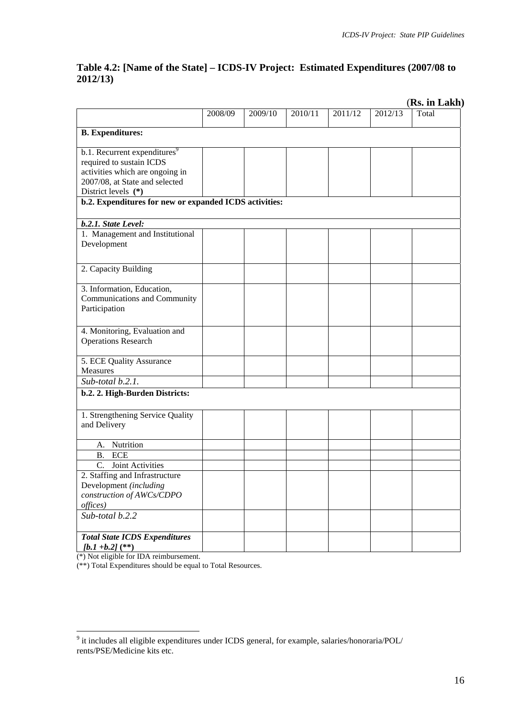# **Table 4.2: [Name of the State] – ICDS-IV Project: Estimated Expenditures (2007/08 to 2012/13)**

|                                                                      |         |         |         |         |         | (Rs. in Lakh) |
|----------------------------------------------------------------------|---------|---------|---------|---------|---------|---------------|
|                                                                      | 2008/09 | 2009/10 | 2010/11 | 2011/12 | 2012/13 | Total         |
| <b>B.</b> Expenditures:                                              |         |         |         |         |         |               |
|                                                                      |         |         |         |         |         |               |
| b.1. Recurrent expenditures <sup>9</sup><br>required to sustain ICDS |         |         |         |         |         |               |
| activities which are ongoing in                                      |         |         |         |         |         |               |
| 2007/08, at State and selected                                       |         |         |         |         |         |               |
| District levels (*)                                                  |         |         |         |         |         |               |
| b.2. Expenditures for new or expanded ICDS activities:               |         |         |         |         |         |               |
|                                                                      |         |         |         |         |         |               |
| b.2.1. State Level:                                                  |         |         |         |         |         |               |
| 1. Management and Institutional                                      |         |         |         |         |         |               |
| Development                                                          |         |         |         |         |         |               |
|                                                                      |         |         |         |         |         |               |
| 2. Capacity Building                                                 |         |         |         |         |         |               |
| 3. Information, Education,                                           |         |         |         |         |         |               |
| Communications and Community                                         |         |         |         |         |         |               |
| Participation                                                        |         |         |         |         |         |               |
|                                                                      |         |         |         |         |         |               |
| 4. Monitoring, Evaluation and                                        |         |         |         |         |         |               |
| <b>Operations Research</b>                                           |         |         |         |         |         |               |
|                                                                      |         |         |         |         |         |               |
| 5. ECE Quality Assurance                                             |         |         |         |         |         |               |
| Measures                                                             |         |         |         |         |         |               |
| Sub-total b.2.1.                                                     |         |         |         |         |         |               |
| b.2. 2. High-Burden Districts:                                       |         |         |         |         |         |               |
| 1. Strengthening Service Quality                                     |         |         |         |         |         |               |
| and Delivery                                                         |         |         |         |         |         |               |
|                                                                      |         |         |         |         |         |               |
| Nutrition<br>A.                                                      |         |         |         |         |         |               |
| <b>ECE</b><br>Β.                                                     |         |         |         |         |         |               |
| Joint Activities<br>$\mathcal{C}$ .                                  |         |         |         |         |         |               |
| 2. Staffing and Infrastructure                                       |         |         |         |         |         |               |
| Development (including                                               |         |         |         |         |         |               |
| construction of AWCs/CDPO                                            |         |         |         |         |         |               |
| offices)                                                             |         |         |         |         |         |               |
| Sub-total b.2.2                                                      |         |         |         |         |         |               |
| <b>Total State ICDS Expenditures</b>                                 |         |         |         |         |         |               |
| $[b.1 + b.2]$ (**)                                                   |         |         |         |         |         |               |
|                                                                      |         |         |         |         |         |               |

(\*) Not eligible for IDA reimbursement.

(\*\*) Total Expenditures should be equal to Total Resources.

<span id="page-15-0"></span><sup>&</sup>lt;sup>9</sup> it includes all eligible expenditures under ICDS general, for example, salaries/honoraria/POL/ rents/PSE/Medicine kits etc.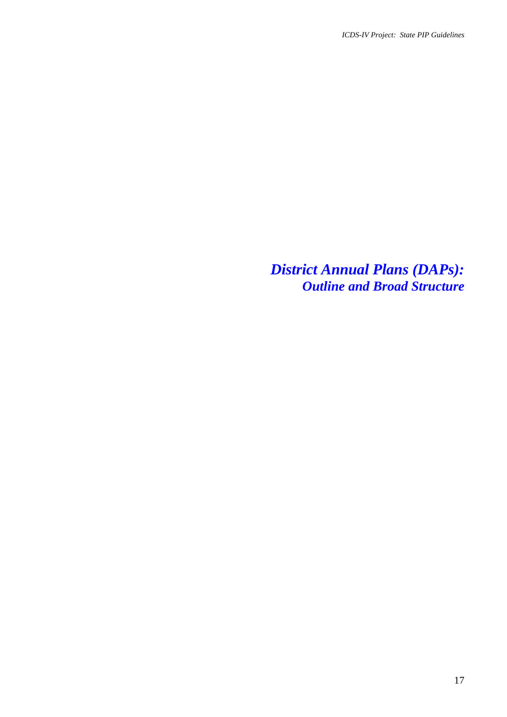*District Annual Plans (DAPs): Outline and Broad Structure*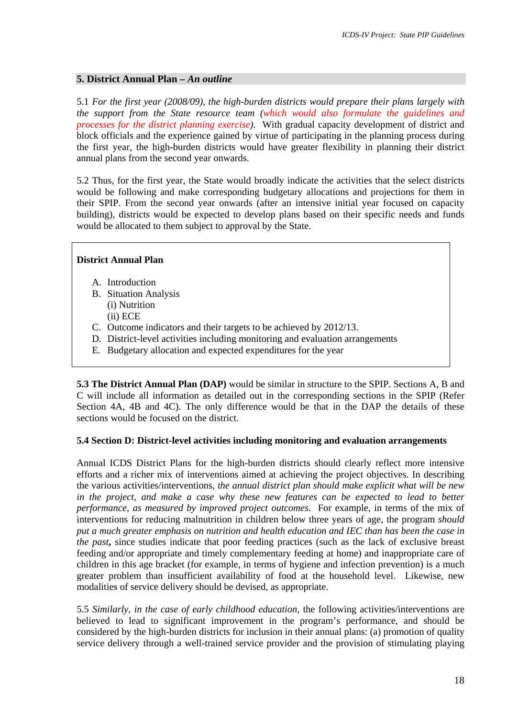#### **5. District Annual Plan –** *An outline*

5.1 *For the first year (2008/09), the high-burden districts would prepare their plans largely with the support from the State resource team (which would also formulate the guidelines and processes for the district planning exercise)*. With gradual capacity development of district and block officials and the experience gained by virtue of participating in the planning process during the first year, the high-burden districts would have greater flexibility in planning their district annual plans from the second year onwards.

5.2 Thus, for the first year, the State would broadly indicate the activities that the select districts would be following and make corresponding budgetary allocations and projections for them in their SPIP. From the second year onwards (after an intensive initial year focused on capacity building), districts would be expected to develop plans based on their specific needs and funds would be allocated to them subject to approval by the State.

#### **District Annual Plan**

- A. Introduction
- B. Situation Analysis (i) Nutrition (ii) ECE
- C. Outcome indicators and their targets to be achieved by 2012/13.
- D. District-level activities including monitoring and evaluation arrangements
- E. Budgetary allocation and expected expenditures for the year

**5.3 The District Annual Plan (DAP)** would be similar in structure to the SPIP. Sections A, B and C will include all information as detailed out in the corresponding sections in the SPIP (Refer Section 4A, 4B and 4C). The only difference would be that in the DAP the details of these sections would be focused on the district.

#### **5.4 Section D: District-level activities including monitoring and evaluation arrangements**

Annual ICDS District Plans for the high-burden districts should clearly reflect more intensive efforts and a richer mix of interventions aimed at achieving the project objectives. In describing the various activities/interventions, *the annual district plan should make explicit what will be new in the project, and make a case why these new features can be expected to lead to better performance, as measured by improved project outcomes*. For example, in terms of the mix of interventions for reducing malnutrition in children below three years of age, the program *should put a much greater emphasis on nutrition and health education and IEC than has been the case in the past***,** since studies indicate that poor feeding practices (such as the lack of exclusive breast feeding and/or appropriate and timely complementary feeding at home) and inappropriate care of children in this age bracket (for example, in terms of hygiene and infection prevention) is a much greater problem than insufficient availability of food at the household level. Likewise, new modalities of service delivery should be devised, as appropriate.

5.5 *Similarly, in the case of early childhood education*, the following activities/interventions are believed to lead to significant improvement in the program's performance, and should be considered by the high-burden districts for inclusion in their annual plans: (a) promotion of quality service delivery through a well-trained service provider and the provision of stimulating playing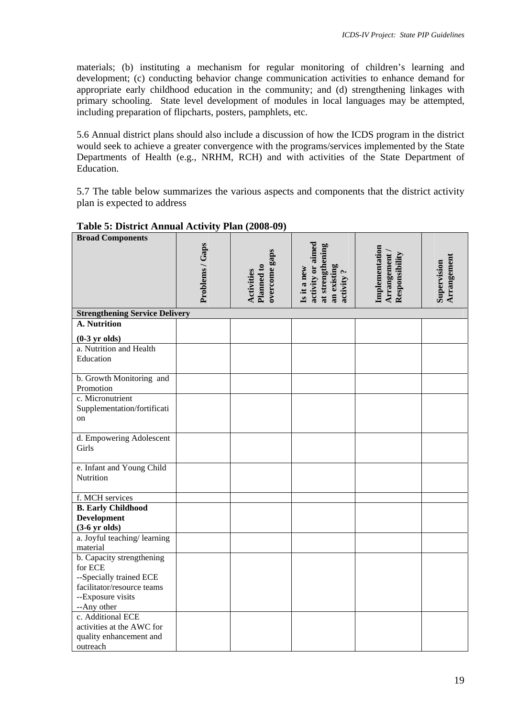materials; (b) instituting a mechanism for regular monitoring of children's learning and development; (c) conducting behavior change communication activities to enhance demand for appropriate early childhood education in the community; and (d) strengthening linkages with primary schooling. State level development of modules in local languages may be attempted, including preparation of flipcharts, posters, pamphlets, etc.

5.6 Annual district plans should also include a discussion of how the ICDS program in the district would seek to achieve a greater convergence with the programs/services implemented by the State Departments of Health (e.g., NRHM, RCH) and with activities of the State Department of Education.

5.7 The table below summarizes the various aspects and components that the district activity plan is expected to address

| <b>Broad Components</b>               |                 |                                           |                                                                                  |                                                 |                            |
|---------------------------------------|-----------------|-------------------------------------------|----------------------------------------------------------------------------------|-------------------------------------------------|----------------------------|
|                                       |                 |                                           |                                                                                  |                                                 |                            |
|                                       |                 |                                           |                                                                                  |                                                 |                            |
|                                       |                 |                                           |                                                                                  |                                                 |                            |
|                                       |                 |                                           |                                                                                  |                                                 |                            |
|                                       |                 |                                           |                                                                                  |                                                 |                            |
|                                       | Problems / Gaps | overcome gaps<br>Planned to<br>Activities | activity or aimed<br>at strengthening<br>an existing<br>Is it a new<br>activity? | Implementation<br>Arrangement<br>Responsibility | Arrangement<br>Supervision |
| <b>Strengthening Service Delivery</b> |                 |                                           |                                                                                  |                                                 |                            |
| A. Nutrition                          |                 |                                           |                                                                                  |                                                 |                            |
| $(0-3 \text{ yr}$ olds)               |                 |                                           |                                                                                  |                                                 |                            |
| a. Nutrition and Health               |                 |                                           |                                                                                  |                                                 |                            |
| Education                             |                 |                                           |                                                                                  |                                                 |                            |
|                                       |                 |                                           |                                                                                  |                                                 |                            |
| b. Growth Monitoring and              |                 |                                           |                                                                                  |                                                 |                            |
| Promotion                             |                 |                                           |                                                                                  |                                                 |                            |
| c. Micronutrient                      |                 |                                           |                                                                                  |                                                 |                            |
| Supplementation/fortificati           |                 |                                           |                                                                                  |                                                 |                            |
| on                                    |                 |                                           |                                                                                  |                                                 |                            |
|                                       |                 |                                           |                                                                                  |                                                 |                            |
| d. Empowering Adolescent              |                 |                                           |                                                                                  |                                                 |                            |
| Girls                                 |                 |                                           |                                                                                  |                                                 |                            |
|                                       |                 |                                           |                                                                                  |                                                 |                            |
| e. Infant and Young Child             |                 |                                           |                                                                                  |                                                 |                            |
| Nutrition                             |                 |                                           |                                                                                  |                                                 |                            |
|                                       |                 |                                           |                                                                                  |                                                 |                            |
| f. MCH services                       |                 |                                           |                                                                                  |                                                 |                            |
| <b>B.</b> Early Childhood             |                 |                                           |                                                                                  |                                                 |                            |
| <b>Development</b>                    |                 |                                           |                                                                                  |                                                 |                            |
| $(3-6 \text{ yr}$ olds)               |                 |                                           |                                                                                  |                                                 |                            |
| a. Joyful teaching/learning           |                 |                                           |                                                                                  |                                                 |                            |
| material                              |                 |                                           |                                                                                  |                                                 |                            |
| b. Capacity strengthening             |                 |                                           |                                                                                  |                                                 |                            |
| for ECE                               |                 |                                           |                                                                                  |                                                 |                            |
| --Specially trained ECE               |                 |                                           |                                                                                  |                                                 |                            |
| facilitator/resource teams            |                 |                                           |                                                                                  |                                                 |                            |
| --Exposure visits                     |                 |                                           |                                                                                  |                                                 |                            |
| --Any other                           |                 |                                           |                                                                                  |                                                 |                            |
| c. Additional ECE                     |                 |                                           |                                                                                  |                                                 |                            |
| activities at the AWC for             |                 |                                           |                                                                                  |                                                 |                            |
| quality enhancement and               |                 |                                           |                                                                                  |                                                 |                            |
| outreach                              |                 |                                           |                                                                                  |                                                 |                            |

## **Table 5: District Annual Activity Plan (2008-09)**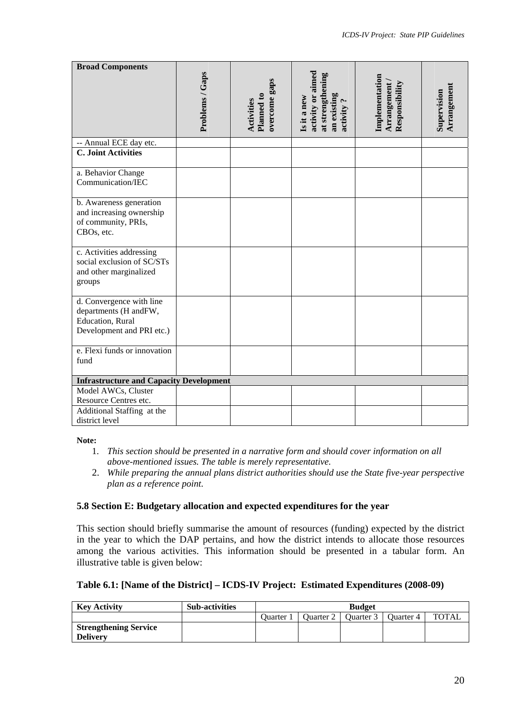| <b>Broad Components</b>                                                                            | Problems / Gaps | overcome gaps            | activity or aimed<br>at strengthening   | Implementation                |                            |
|----------------------------------------------------------------------------------------------------|-----------------|--------------------------|-----------------------------------------|-------------------------------|----------------------------|
|                                                                                                    |                 | Planned to<br>Activities | an existing<br>Is it a new<br>activity? | Arrangement<br>Responsibility | Arrangement<br>Supervision |
| -- Annual ECE day etc.                                                                             |                 |                          |                                         |                               |                            |
| <b>C. Joint Activities</b>                                                                         |                 |                          |                                         |                               |                            |
| a. Behavior Change<br>Communication/IEC                                                            |                 |                          |                                         |                               |                            |
| b. Awareness generation<br>and increasing ownership<br>of community, PRIs,<br>CBOs, etc.           |                 |                          |                                         |                               |                            |
| c. Activities addressing<br>social exclusion of SC/STs<br>and other marginalized<br>groups         |                 |                          |                                         |                               |                            |
| d. Convergence with line<br>departments (H andFW,<br>Education, Rural<br>Development and PRI etc.) |                 |                          |                                         |                               |                            |
| e. Flexi funds or innovation<br>fund                                                               |                 |                          |                                         |                               |                            |
| <b>Infrastructure and Capacity Development</b>                                                     |                 |                          |                                         |                               |                            |
| Model AWCs, Cluster<br>Resource Centres etc.                                                       |                 |                          |                                         |                               |                            |
| Additional Staffing at the<br>district level                                                       |                 |                          |                                         |                               |                            |

#### **Note:**

- 1. *This section should be presented in a narrative form and should cover information on all above-mentioned issues. The table is merely representative.*
- 2. *While preparing the annual plans district authorities should use the State five-year perspective plan as a reference point*.

## **5.8 Section E: Budgetary allocation and expected expenditures for the year**

This section should briefly summarise the amount of resources (funding) expected by the district in the year to which the DAP pertains, and how the district intends to allocate those resources among the various activities. This information should be presented in a tabular form. An illustrative table is given below:

#### **Table 6.1: [Name of the District] – ICDS-IV Project: Estimated Expenditures (2008-09)**

| <b>Key Activity</b>          | <b>Sub-activities</b> | <b>Budget</b>  |           |           |           |              |
|------------------------------|-----------------------|----------------|-----------|-----------|-----------|--------------|
|                              |                       | <b>Ouarter</b> | Ouarter 2 | Ouarter 3 | Quarter 4 | <b>TOTAL</b> |
| <b>Strengthening Service</b> |                       |                |           |           |           |              |
| <b>Delivery</b>              |                       |                |           |           |           |              |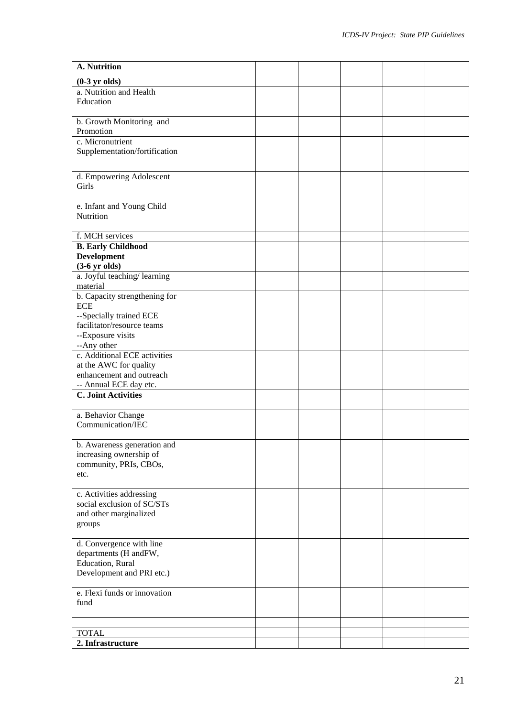| A. Nutrition                                           |  |  |  |
|--------------------------------------------------------|--|--|--|
| $(0-3 \text{ yr}$ olds)                                |  |  |  |
| a. Nutrition and Health                                |  |  |  |
| Education                                              |  |  |  |
|                                                        |  |  |  |
| b. Growth Monitoring and                               |  |  |  |
| Promotion                                              |  |  |  |
| c. Micronutrient<br>Supplementation/fortification      |  |  |  |
|                                                        |  |  |  |
|                                                        |  |  |  |
| d. Empowering Adolescent<br>Girls                      |  |  |  |
|                                                        |  |  |  |
| e. Infant and Young Child                              |  |  |  |
| Nutrition                                              |  |  |  |
|                                                        |  |  |  |
| f. MCH services                                        |  |  |  |
| <b>B.</b> Early Childhood                              |  |  |  |
| <b>Development</b>                                     |  |  |  |
| $(3-6 \text{ yr}$ olds)<br>a. Joyful teaching/learning |  |  |  |
| material                                               |  |  |  |
| b. Capacity strengthening for                          |  |  |  |
| <b>ECE</b>                                             |  |  |  |
| --Specially trained ECE                                |  |  |  |
| facilitator/resource teams                             |  |  |  |
| --Exposure visits                                      |  |  |  |
| --Any other<br>c. Additional ECE activities            |  |  |  |
| at the AWC for quality                                 |  |  |  |
| enhancement and outreach                               |  |  |  |
| -- Annual ECE day etc.                                 |  |  |  |
| <b>C. Joint Activities</b>                             |  |  |  |
|                                                        |  |  |  |
| a. Behavior Change                                     |  |  |  |
| Communication/IEC                                      |  |  |  |
| b. Awareness generation and                            |  |  |  |
| increasing ownership of                                |  |  |  |
| community, PRIs, CBOs,                                 |  |  |  |
| etc.                                                   |  |  |  |
|                                                        |  |  |  |
| c. Activities addressing                               |  |  |  |
| social exclusion of SC/STs                             |  |  |  |
| and other marginalized<br>groups                       |  |  |  |
|                                                        |  |  |  |
| d. Convergence with line                               |  |  |  |
| departments (H andFW,                                  |  |  |  |
| Education, Rural                                       |  |  |  |
| Development and PRI etc.)                              |  |  |  |
| e. Flexi funds or innovation                           |  |  |  |
| fund                                                   |  |  |  |
|                                                        |  |  |  |
|                                                        |  |  |  |
| <b>TOTAL</b>                                           |  |  |  |
| 2. Infrastructure                                      |  |  |  |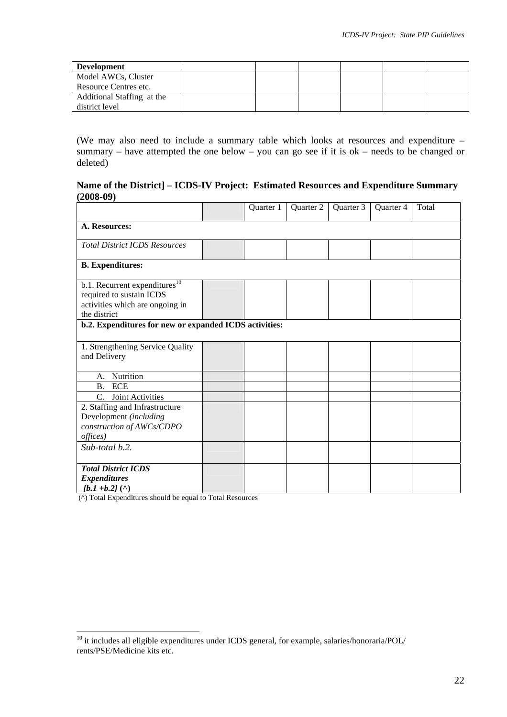| <b>Development</b>         |  |  |  |
|----------------------------|--|--|--|
| Model AWCs, Cluster        |  |  |  |
| Resource Centres etc.      |  |  |  |
| Additional Staffing at the |  |  |  |
| district level             |  |  |  |

(We may also need to include a summary table which looks at resources and expenditure – summary – have attempted the one below – you can go see if it is  $ok$  – needs to be changed or deleted)

## **Name of the District] – ICDS-IV Project: Estimated Resources and Expenditure Summary (2008-09)**

|                                                                                                                          |  | Quarter 1 | Quarter 2 | Quarter 3 | Quarter 4 | Total |
|--------------------------------------------------------------------------------------------------------------------------|--|-----------|-----------|-----------|-----------|-------|
| A. Resources:                                                                                                            |  |           |           |           |           |       |
| <b>Total District ICDS Resources</b>                                                                                     |  |           |           |           |           |       |
| <b>B.</b> Expenditures:                                                                                                  |  |           |           |           |           |       |
| b.1. Recurrent expenditures <sup>10</sup><br>required to sustain ICDS<br>activities which are ongoing in<br>the district |  |           |           |           |           |       |
| b.2. Expenditures for new or expanded ICDS activities:                                                                   |  |           |           |           |           |       |
| 1. Strengthening Service Quality<br>and Delivery                                                                         |  |           |           |           |           |       |
| Nutrition<br>A <sub>1</sub>                                                                                              |  |           |           |           |           |       |
| <b>ECE</b><br><b>B.</b><br>Joint Activities<br>$\mathcal{C}$ .                                                           |  |           |           |           |           |       |
| 2. Staffing and Infrastructure<br>Development (including<br>construction of AWCs/CDPO<br>offices)                        |  |           |           |           |           |       |
| Sub-total b.2.                                                                                                           |  |           |           |           |           |       |
| <b>Total District ICDS</b><br><b>Expenditures</b><br>$[b.1 + b.2]$ (^)                                                   |  |           |           |           |           |       |

(^) Total Expenditures should be equal to Total Resources

 $\overline{a}$ 

<span id="page-21-0"></span> $10$  it includes all eligible expenditures under ICDS general, for example, salaries/honoraria/POL/ rents/PSE/Medicine kits etc.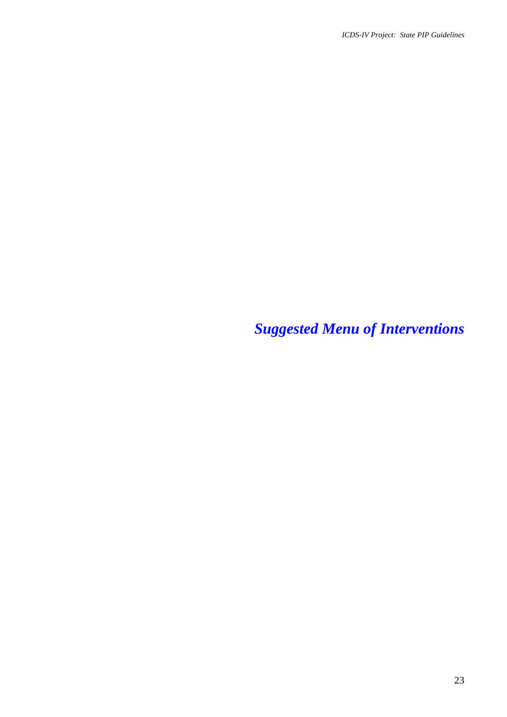*Suggested Menu of Interventions*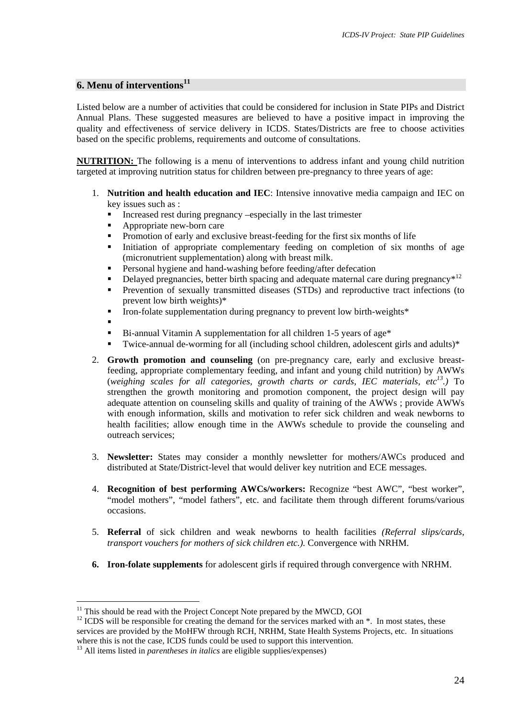#### **6. Menu of interventions[11](#page-23-0)**

Listed below are a number of activities that could be considered for inclusion in State PIPs and District Annual Plans. These suggested measures are believed to have a positive impact in improving the quality and effectiveness of service delivery in ICDS. States/Districts are free to choose activities based on the specific problems, requirements and outcome of consultations.

**NUTRITION:** The following is a menu of interventions to address infant and young child nutrition targeted at improving nutrition status for children between pre-pregnancy to three years of age:

- 1. **Nutrition and health education and IEC**: Intensive innovative media campaign and IEC on key issues such as :
	- Increased rest during pregnancy –especially in the last trimester
	- Appropriate new-born care
	- Promotion of early and exclusive breast-feeding for the first six months of life
	- Initiation of appropriate complementary feeding on completion of six months of age (micronutrient supplementation) along with breast milk.
	- Personal hygiene and hand-washing before feeding/after defecation
	- Delayed pregnancies, better birth spacing and adequate maternal care during pregnancy<sup>\*12</sup>
	- **Prevention of sexually transmitted diseases (STDs) and reproductive tract infections (to** prevent low birth weights)\*
	- Iron-folate supplementation during pregnancy to prevent low birth-weights\*
	- $\blacksquare$
	- Bi-annual Vitamin A supplementation for all children 1-5 years of age\*
	- Twice-annual de-worming for all (including school children, adolescent girls and adults)\*
- 2. **Growth promotion and counseling** (on pre-pregnancy care, early and exclusive breastfeeding, appropriate complementary feeding, and infant and young child nutrition) by AWWs (*weighing scales for all categories, growth charts or cards, IEC materials, etc[13.\)](#page-23-2)* To strengthen the growth monitoring and promotion component, the project design will pay adequate attention on counseling skills and quality of training of the AWWs ; provide AWWs with enough information, skills and motivation to refer sick children and weak newborns to health facilities; allow enough time in the AWWs schedule to provide the counseling and outreach services;
- 3. **Newsletter:** States may consider a monthly newsletter for mothers/AWCs produced and distributed at State/District-level that would deliver key nutrition and ECE messages.
- 4. **Recognition of best performing AWCs/workers:** Recognize "best AWC", "best worker", "model mothers", "model fathers", etc. and facilitate them through different forums/various occasions.
- 5. **Referral** of sick children and weak newborns to health facilities *(Referral slips/cards, transport vouchers for mothers of sick children etc.).* Convergence with NRHM.
- **6. Iron-folate supplements** for adolescent girls if required through convergence with NRHM.

<span id="page-23-0"></span><sup>&</sup>lt;sup>11</sup> This should be read with the Project Concept Note prepared by the MWCD, GOI

<span id="page-23-1"></span><sup>&</sup>lt;sup>12</sup> ICDS will be responsible for creating the demand for the services marked with an  $*$ . In most states, these services are provided by the MoHFW through RCH, NRHM, State Health Systems Projects, etc. In situations where this is not the case, ICDS funds could be used to support this intervention.

<span id="page-23-2"></span> $^{13}$  All items listed in *parentheses in italics* are eligible supplies/expenses)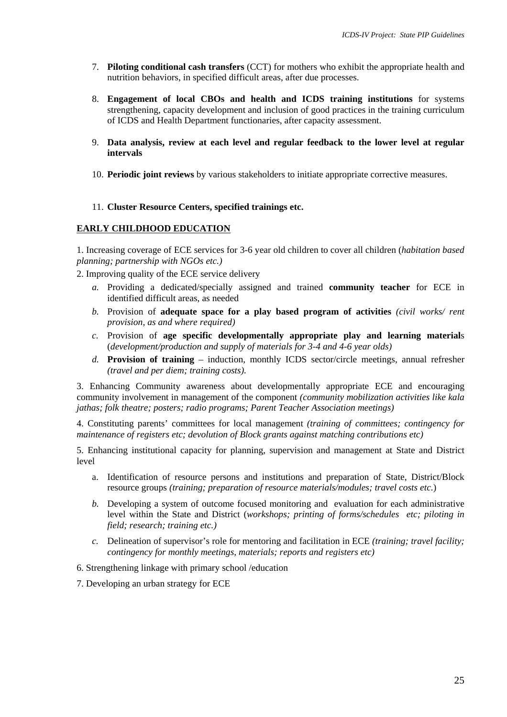- 7. **Piloting conditional cash transfers** (CCT) for mothers who exhibit the appropriate health and nutrition behaviors, in specified difficult areas, after due processes.
- 8. **Engagement of local CBOs and health and ICDS training institutions** for systems strengthening, capacity development and inclusion of good practices in the training curriculum of ICDS and Health Department functionaries, after capacity assessment.
- 9. **Data analysis, review at each level and regular feedback to the lower level at regular intervals**
- 10. **Periodic joint reviews** by various stakeholders to initiate appropriate corrective measures.
- 11. **Cluster Resource Centers, specified trainings etc.**

#### **EARLY CHILDHOOD EDUCATION**

1. Increasing coverage of ECE services for 3-6 year old children to cover all children (*habitation based planning; partnership with NGOs etc.)*

2. Improving quality of the ECE service delivery

- *a.* Providing a dedicated/specially assigned and trained **community teacher** for ECE in identified difficult areas, as needed
- *b.* Provision of **adequate space for a play based program of activities** *(civil works/ rent provision, as and where required)*
- *c.* Provision of **age specific developmentally appropriate play and learning material**s (*development/production and supply of materials for 3-4 and 4-6 year olds)*
- *d.* **Provision of training** induction, monthly ICDS sector/circle meetings, annual refresher *(travel and per diem; training costs).*

3. Enhancing Community awareness about developmentally appropriate ECE and encouraging community involvement in management of the component *(community mobilization activities like kala jathas; folk theatre; posters; radio programs; Parent Teacher Association meetings)* 

4. Constituting parents' committees for local management *(training of committees; contingency for maintenance of registers etc; devolution of Block grants against matching contributions etc)*

5. Enhancing institutional capacity for planning, supervision and management at State and District level

- a. Identification of resource persons and institutions and preparation of State, District/Block resource groups *(training; preparation of resource materials/modules; travel costs etc.*)
- *b.* Developing a system of outcome focused monitoring and evaluation for each administrative level within the State and District (*workshops; printing of forms/schedules etc; piloting in field; research; training etc.)*
- *c.* Delineation of supervisor's role for mentoring and facilitation in ECE *(training; travel facility; contingency for monthly meetings, materials; reports and registers etc)*
- 6. Strengthening linkage with primary school /education

7. Developing an urban strategy for ECE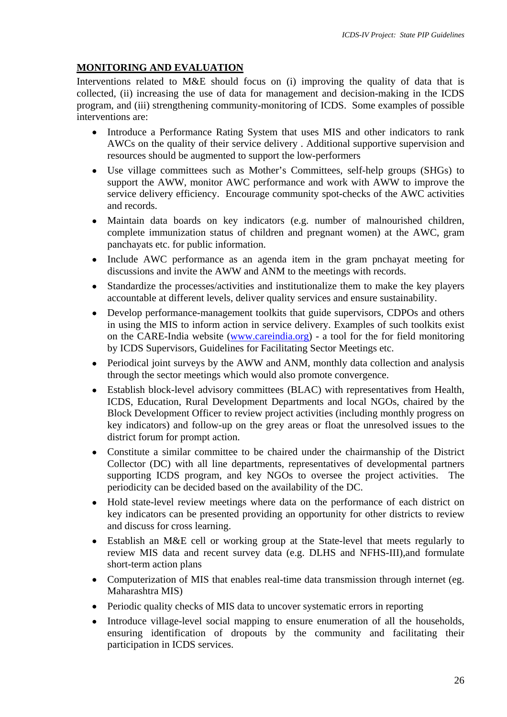# **MONITORING AND EVALUATION**

Interventions related to M&E should focus on (i) improving the quality of data that is collected, (ii) increasing the use of data for management and decision-making in the ICDS program, and (iii) strengthening community-monitoring of ICDS. Some examples of possible interventions are:

- Introduce a Performance Rating System that uses MIS and other indicators to rank AWCs on the quality of their service delivery . Additional supportive supervision and resources should be augmented to support the low-performers
- Use village committees such as Mother's Committees, self-help groups (SHGs) to support the AWW, monitor AWC performance and work with AWW to improve the service delivery efficiency. Encourage community spot-checks of the AWC activities and records.
- Maintain data boards on key indicators (e.g. number of malnourished children, complete immunization status of children and pregnant women) at the AWC, gram panchayats etc. for public information.
- Include AWC performance as an agenda item in the gram pnchayat meeting for discussions and invite the AWW and ANM to the meetings with records.
- Standardize the processes/activities and institutionalize them to make the key players accountable at different levels, deliver quality services and ensure sustainability.
- Develop performance-management toolkits that guide supervisors, CDPOs and others in using the MIS to inform action in service delivery. Examples of such toolkits exist on the CARE-India website [\(www.careindia.org](http://www.careindia.org/)) - a tool for the for field monitoring by ICDS Supervisors, Guidelines for Facilitating Sector Meetings etc.
- Periodical joint surveys by the AWW and ANM, monthly data collection and analysis through the sector meetings which would also promote convergence.
- Establish block-level advisory committees (BLAC) with representatives from Health, ICDS, Education, Rural Development Departments and local NGOs, chaired by the Block Development Officer to review project activities (including monthly progress on key indicators) and follow-up on the grey areas or float the unresolved issues to the district forum for prompt action.
- Constitute a similar committee to be chaired under the chairmanship of the District Collector (DC) with all line departments, representatives of developmental partners supporting ICDS program, and key NGOs to oversee the project activities. The periodicity can be decided based on the availability of the DC.
- Hold state-level review meetings where data on the performance of each district on key indicators can be presented providing an opportunity for other districts to review and discuss for cross learning.
- Establish an M&E cell or working group at the State-level that meets regularly to review MIS data and recent survey data (e.g. DLHS and NFHS-III),and formulate short-term action plans
- Computerization of MIS that enables real-time data transmission through internet (eg. Maharashtra MIS)
- Periodic quality checks of MIS data to uncover systematic errors in reporting
- Introduce village-level social mapping to ensure enumeration of all the households, ensuring identification of dropouts by the community and facilitating their participation in ICDS services.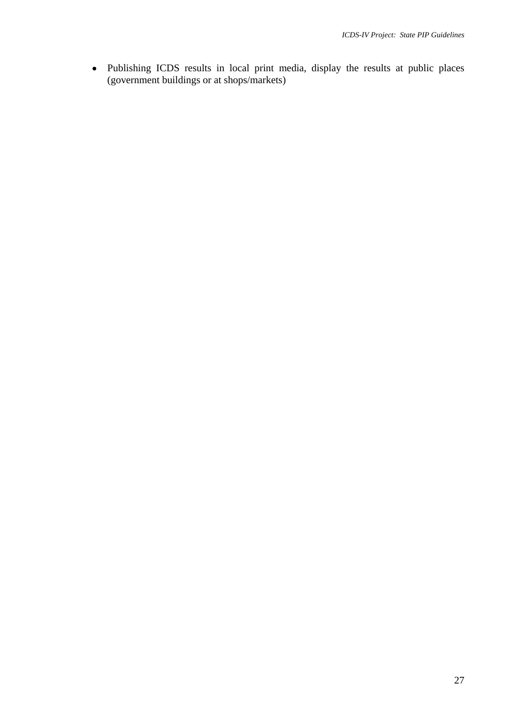• Publishing ICDS results in local print media, display the results at public places (government buildings or at shops/markets)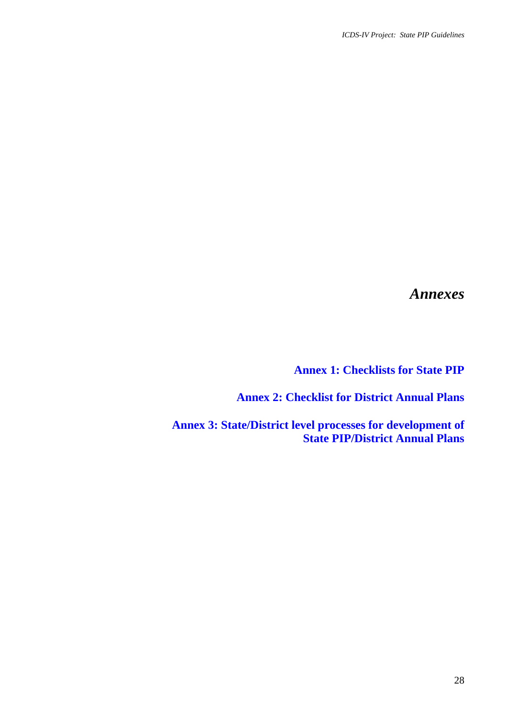*Annexes* 

**Annex 1: Checklists for State PIP** 

**Annex 2: Checklist for District Annual Plans** 

**Annex 3: State/District level processes for development of State PIP/District Annual Plans**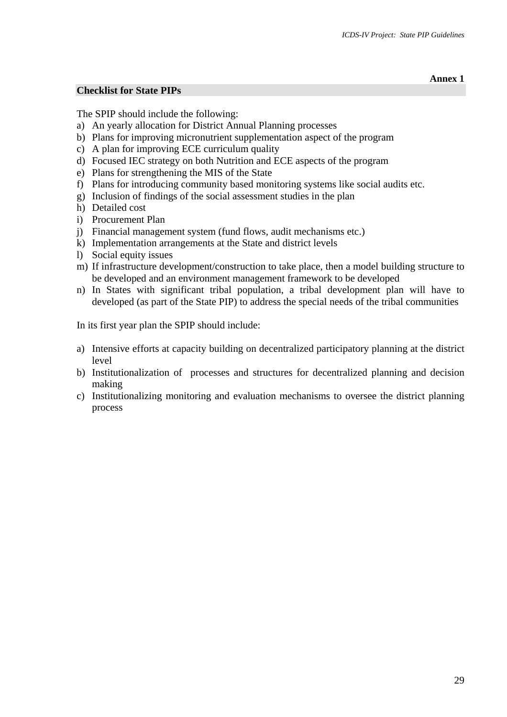**Annex 1** 

## **Checklist for State PIPs**

The SPIP should include the following:

- a) An yearly allocation for District Annual Planning processes
- b) Plans for improving micronutrient supplementation aspect of the program
- c) A plan for improving ECE curriculum quality
- d) Focused IEC strategy on both Nutrition and ECE aspects of the program
- e) Plans for strengthening the MIS of the State
- f) Plans for introducing community based monitoring systems like social audits etc.
- g) Inclusion of findings of the social assessment studies in the plan
- h) Detailed cost
- i) Procurement Plan
- j) Financial management system (fund flows, audit mechanisms etc.)
- k) Implementation arrangements at the State and district levels
- l) Social equity issues
- m) If infrastructure development/construction to take place, then a model building structure to be developed and an environment management framework to be developed
- n) In States with significant tribal population, a tribal development plan will have to developed (as part of the State PIP) to address the special needs of the tribal communities

In its first year plan the SPIP should include:

- a) Intensive efforts at capacity building on decentralized participatory planning at the district level
- b) Institutionalization of processes and structures for decentralized planning and decision making
- c) Institutionalizing monitoring and evaluation mechanisms to oversee the district planning process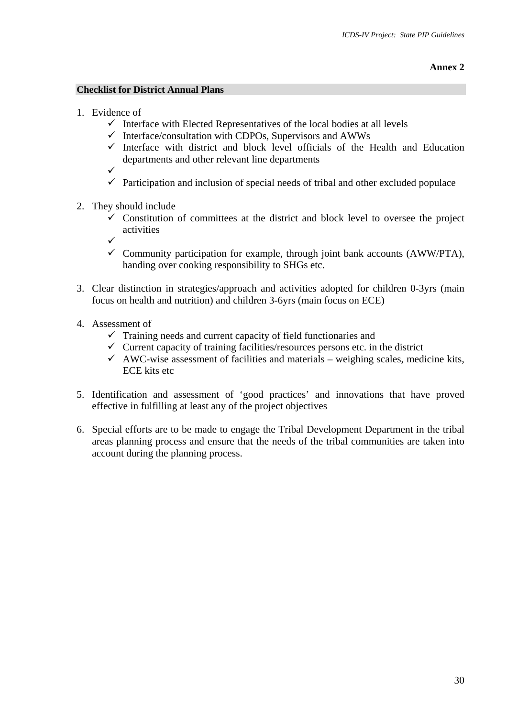## **Annex 2**

## **Checklist for District Annual Plans**

- 1. Evidence of
	- $\checkmark$  Interface with Elected Representatives of the local bodies at all levels
	- $\checkmark$  Interface/consultation with CDPOs, Supervisors and AWWs
	- $\checkmark$  Interface with district and block level officials of the Health and Education departments and other relevant line departments
	- $\checkmark$
	- $\checkmark$  Participation and inclusion of special needs of tribal and other excluded populace
- 2. They should include
	- $\checkmark$  Constitution of committees at the district and block level to oversee the project activities
	- $\checkmark$
	- $\checkmark$  Community participation for example, through joint bank accounts (AWW/PTA), handing over cooking responsibility to SHGs etc.
- 3. Clear distinction in strategies/approach and activities adopted for children 0-3yrs (main focus on health and nutrition) and children 3-6yrs (main focus on ECE)
- 4. Assessment of
	- $\checkmark$  Training needs and current capacity of field functionaries and
	- $\checkmark$  Current capacity of training facilities/resources persons etc. in the district
	- $\checkmark$  AWC-wise assessment of facilities and materials weighing scales, medicine kits, ECE kits etc
- 5. Identification and assessment of 'good practices' and innovations that have proved effective in fulfilling at least any of the project objectives
- 6. Special efforts are to be made to engage the Tribal Development Department in the tribal areas planning process and ensure that the needs of the tribal communities are taken into account during the planning process.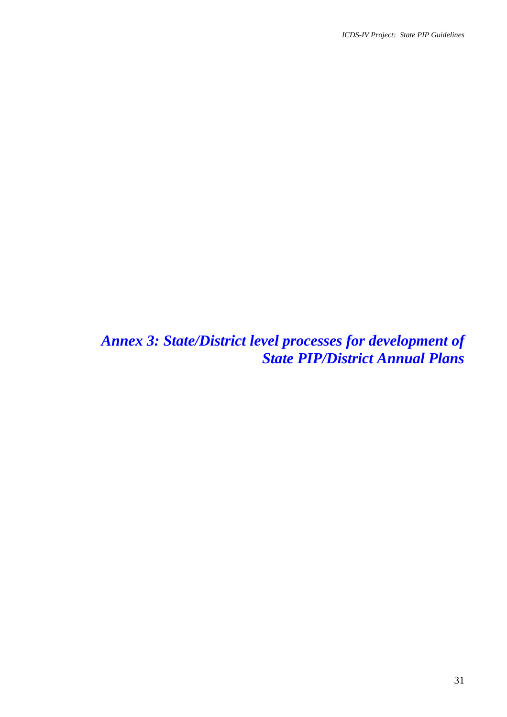*Annex 3: State/District level processes for development of State PIP/District Annual Plans*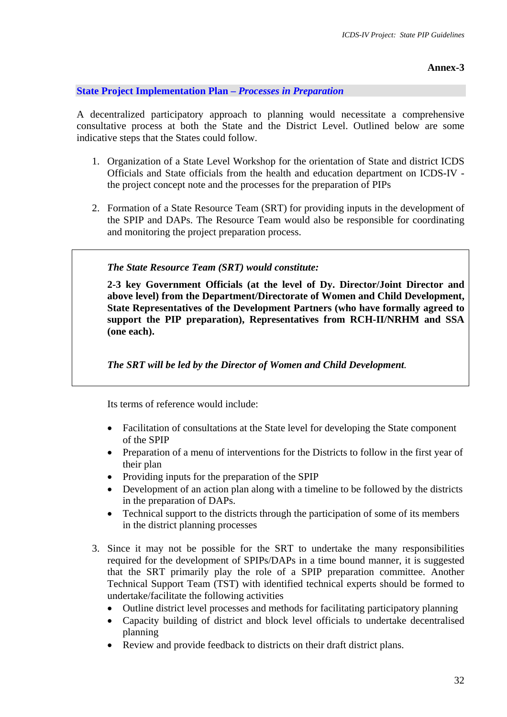# **Annex-3**

## **State Project Implementation Plan –** *Processes in Preparation*

A decentralized participatory approach to planning would necessitate a comprehensive consultative process at both the State and the District Level. Outlined below are some indicative steps that the States could follow.

- 1. Organization of a State Level Workshop for the orientation of State and district ICDS Officials and State officials from the health and education department on ICDS-IV the project concept note and the processes for the preparation of PIPs
- 2. Formation of a State Resource Team (SRT) for providing inputs in the development of the SPIP and DAPs. The Resource Team would also be responsible for coordinating and monitoring the project preparation process.

## *The State Resource Team (SRT) would constitute:*

**2-3 key Government Officials (at the level of Dy. Director/Joint Director and above level) from the Department/Directorate of Women and Child Development, State Representatives of the Development Partners (who have formally agreed to support the PIP preparation), Representatives from RCH-II/NRHM and SSA (one each).** 

*The SRT will be led by the Director of Women and Child Development.* 

Its terms of reference would include:

- Facilitation of consultations at the State level for developing the State component of the SPIP
- Preparation of a menu of interventions for the Districts to follow in the first year of their plan
- Providing inputs for the preparation of the SPIP
- Development of an action plan along with a timeline to be followed by the districts in the preparation of DAPs.
- Technical support to the districts through the participation of some of its members in the district planning processes
- 3. Since it may not be possible for the SRT to undertake the many responsibilities required for the development of SPIPs/DAPs in a time bound manner, it is suggested that the SRT primarily play the role of a SPIP preparation committee. Another Technical Support Team (TST) with identified technical experts should be formed to undertake/facilitate the following activities
	- Outline district level processes and methods for facilitating participatory planning
	- Capacity building of district and block level officials to undertake decentralised planning
	- Review and provide feedback to districts on their draft district plans.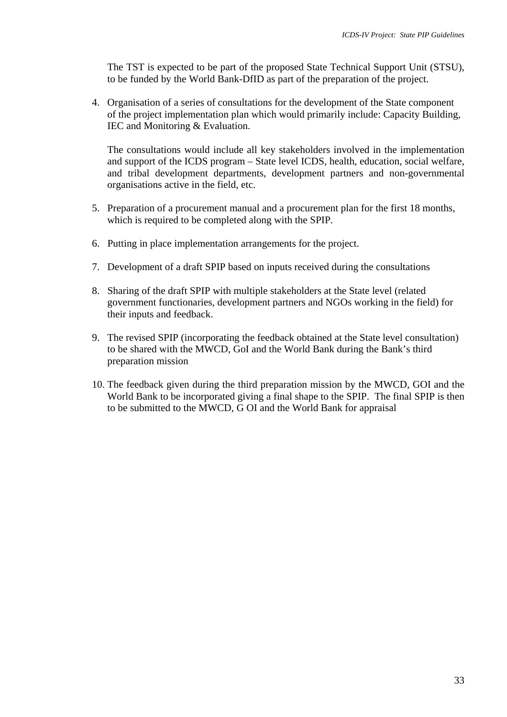The TST is expected to be part of the proposed State Technical Support Unit (STSU), to be funded by the World Bank-DfID as part of the preparation of the project.

4. Organisation of a series of consultations for the development of the State component of the project implementation plan which would primarily include: Capacity Building, IEC and Monitoring & Evaluation.

The consultations would include all key stakeholders involved in the implementation and support of the ICDS program – State level ICDS, health, education, social welfare, and tribal development departments, development partners and non-governmental organisations active in the field, etc.

- 5. Preparation of a procurement manual and a procurement plan for the first 18 months, which is required to be completed along with the SPIP.
- 6. Putting in place implementation arrangements for the project.
- 7. Development of a draft SPIP based on inputs received during the consultations
- 8. Sharing of the draft SPIP with multiple stakeholders at the State level (related government functionaries, development partners and NGOs working in the field) for their inputs and feedback.
- 9. The revised SPIP (incorporating the feedback obtained at the State level consultation) to be shared with the MWCD, GoI and the World Bank during the Bank's third preparation mission
- 10. The feedback given during the third preparation mission by the MWCD, GOI and the World Bank to be incorporated giving a final shape to the SPIP. The final SPIP is then to be submitted to the MWCD, G OI and the World Bank for appraisal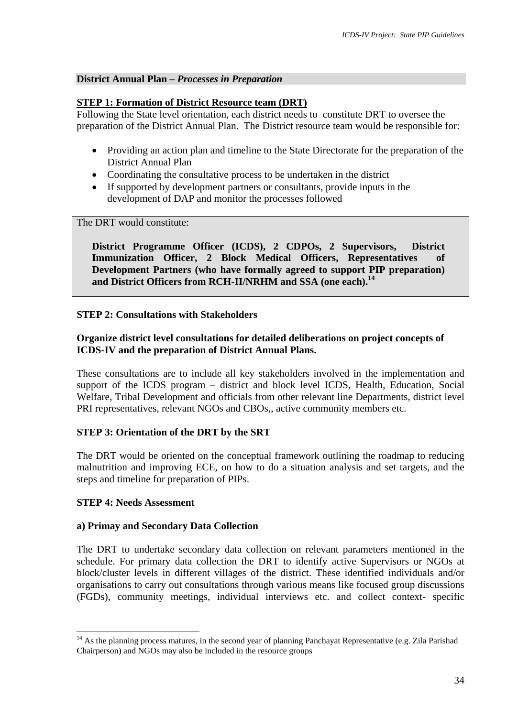## **District Annual Plan –** *Processes in Preparation*

## **STEP 1: Formation of District Resource team (DRT)**

Following the State level orientation, each district needs to constitute DRT to oversee the preparation of the District Annual Plan. The District resource team would be responsible for:

- Providing an action plan and timeline to the State Directorate for the preparation of the District Annual Plan
- Coordinating the consultative process to be undertaken in the district
- If supported by development partners or consultants, provide inputs in the development of DAP and monitor the processes followed

The DRT would constitute:

**District Programme Officer (ICDS), 2 CDPOs, 2 Supervisors, District Immunization Officer, 2 Block Medical Officers, Representatives of Development Partners (who have formally agreed to support PIP preparation) and District Officers from RCH-II/NRHM and SSA (one each).[14](#page-33-0)**

## **STEP 2: Consultations with Stakeholders**

# **Organize district level consultations for detailed deliberations on project concepts of ICDS-IV and the preparation of District Annual Plans.**

These consultations are to include all key stakeholders involved in the implementation and support of the ICDS program – district and block level ICDS, Health, Education, Social Welfare, Tribal Development and officials from other relevant line Departments, district level PRI representatives, relevant NGOs and CBOs,, active community members etc.

# **STEP 3: Orientation of the DRT by the SRT**

The DRT would be oriented on the conceptual framework outlining the roadmap to reducing malnutrition and improving ECE, on how to do a situation analysis and set targets, and the steps and timeline for preparation of PIPs.

## **STEP 4: Needs Assessment**

 $\overline{a}$ 

## **a) Primay and Secondary Data Collection**

The DRT to undertake secondary data collection on relevant parameters mentioned in the schedule. For primary data collection the DRT to identify active Supervisors or NGOs at block/cluster levels in different villages of the district. These identified individuals and/or organisations to carry out consultations through various means like focused group discussions (FGDs), community meetings, individual interviews etc. and collect context- specific

<span id="page-33-0"></span><sup>&</sup>lt;sup>14</sup> As the planning process matures, in the second year of planning Panchayat Representative (e.g. Zila Parishad Chairperson) and NGOs may also be included in the resource groups